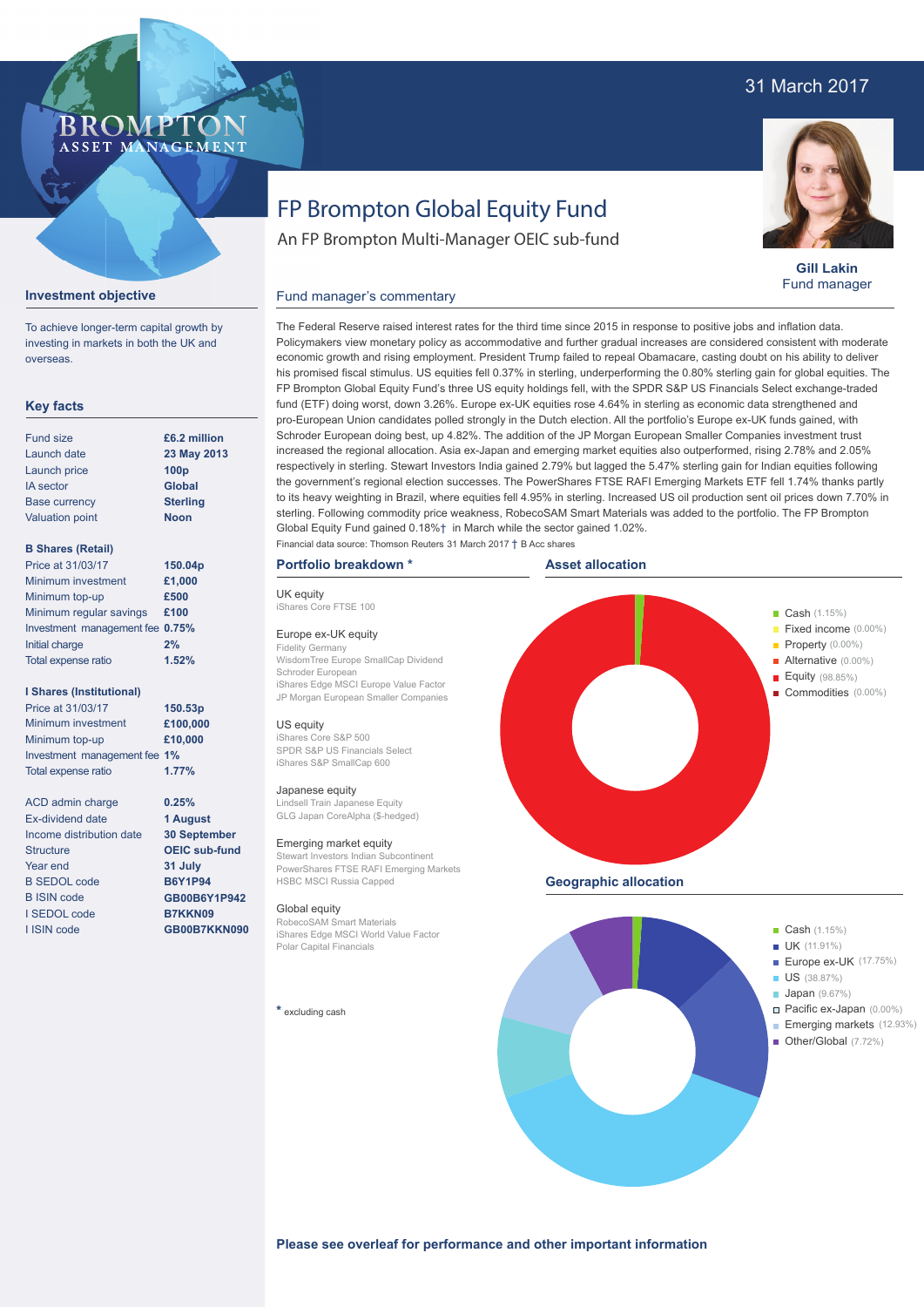# 31 March 2017



**Gill Lakin** Fund manager

# FP Brompton Global Equity Fund

An FP Brompton Multi-Manager OEIC sub-fund

The Federal Reserve raised interest rates for the third time since 2015 in response to positive jobs and inflation data. Policymakers view monetary policy as accommodative and further gradual increases are considered consistent with moderate economic growth and rising employment. President Trump failed to repeal Obamacare, casting doubt on his ability to deliver his promised fiscal stimulus. US equities fell 0.37% in sterling, underperforming the 0.80% sterling gain for global equities. The FP Brompton Global Equity Fund's three US equity holdings fell, with the SPDR S&P US Financials Select exchange-traded fund (ETF) doing worst, down 3.26%. Europe ex-UK equities rose 4.64% in sterling as economic data strengthened and pro-European Union candidates polled strongly in the Dutch election. All the portfolio's Europe ex-UK funds gained, with Schroder European doing best, up 4.82%. The addition of the JP Morgan European Smaller Companies investment trust increased the regional allocation. Asia ex-Japan and emerging market equities also outperformed, rising 2.78% and 2.05% respectively in sterling. Stewart Investors India gained 2.79% but lagged the 5.47% sterling gain for Indian equities following the government's regional election successes. The PowerShares FTSE RAFI Emerging Markets ETF fell 1.74% thanks partly to its heavy weighting in Brazil, where equities fell 4.95% in sterling. Increased US oil production sent oil prices down 7.70% in

## **Investment objective**

To achieve longer-term capital growth by investing in markets in both the UK and overseas.

**BROMP** 

ASSET MANAGEMENT

### **Key facts**

| <b>Fund size</b>       | £6.2 million     |
|------------------------|------------------|
| Launch date            | 23 May 2013      |
| Launch price           | 100 <sub>p</sub> |
| <b>IA</b> sector       | <b>Global</b>    |
| <b>Base currency</b>   | <b>Sterling</b>  |
| <b>Valuation point</b> | <b>Noon</b>      |
|                        |                  |

### **B Shares (Retail)**

| Price at 31/03/17               | 150.04p |
|---------------------------------|---------|
| Minimum investment              | £1,000  |
| Minimum top-up                  | £500    |
| Minimum regular savings         | £100    |
| Investment management fee 0.75% |         |
| Initial charge                  | 2%      |
| Total expense ratio             | 1.52%   |

#### **I Shares (Institutional)**

| Price at 31/03/17            | 150.53 <sub>p</sub> |
|------------------------------|---------------------|
| Minimum investment           | £100,000            |
| Minimum top-up               | £10,000             |
| Investment management fee 1% |                     |
| Total expense ratio          | 1.77%               |

**0.25% 1 August 30 September OEIC sub-fund 31 July B6Y1P94 GB00B6Y1P942 B7KKN09 GB00B7KKN090**

ACD admin charge Ex-dividend date Income distribution date **Structure** Year end B SEDOL code B ISIN code I SEDOL code I ISIN code

UK equity iShares Core FTSE 100 Europe ex-UK equity Fidelity Germany Schroder European **Portfolio breakdown \*** Financial data source: Thomson Reuters 31 March 2017 † B Acc shares

iShares Core S&P 500 SPDR S&P US Financials Select iShares S&P SmallCap 600

#### Japanese equity

GLG Japan CoreAlpha (\$-hedged)

#### Emerging market equity

Stewart Investors Indian Subcontinent PowerShares FTSE RAFI Emerging Markets HSBC MSCI Russia Capped

RobecoSAM Smart Materials iShares Edge MSCI World Value Factor Polar Capital Financials



**Japan** (9.67%)

#### Pacific ex-Japan (0.00%) Emerging markets (12.93%)

Other/Global (7.72%)

**Please see overleaf for performance and other important information**

WisdomTree Europe SmallCap Dividend iShares Edge MSCI Europe Value Factor JP Morgan European Smaller Companies

Fund manager's commentary

#### US equity

Lindsell Train Japanese Equity

#### Global equity

#### **\*** excluding cash